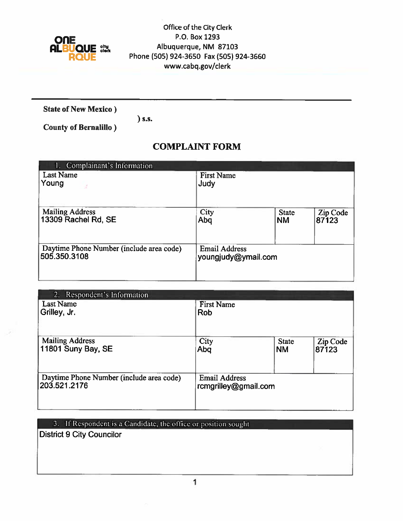

Office of the City Clerk P.O. Box 1293 Albuquerque, NM 87103 Phone (505) 924-3650 Fax (505) 924-3660 www.cabq.gov/clerk

**State of New Mexico)** 

**County of Bernalillo**)

) s.s.

# **COMPLAINT FORM**

| Complainant's Information<br>1.                          |                                             |                           |                   |
|----------------------------------------------------------|---------------------------------------------|---------------------------|-------------------|
| <b>Last Name</b>                                         | <b>First Name</b>                           |                           |                   |
| Young                                                    | Judy                                        |                           |                   |
| <b>Mailing Address</b><br>13309 Rachel Rd, SE            | City<br>Abq                                 | <b>State</b><br><b>NM</b> | Zip Code<br>87123 |
| Daytime Phone Number (include area code)<br>505,350,3108 | <b>Email Address</b><br>youngjudy@ymail.com |                           |                   |

| 2. Respondent's Information                              |                                              |                           |                   |
|----------------------------------------------------------|----------------------------------------------|---------------------------|-------------------|
| <b>Last Name</b><br>Grilley, Jr.                         | <b>First Name</b><br><b>Rob</b>              |                           |                   |
| <b>Mailing Address</b><br>11801 Suny Bay, SE             | City<br>Abq                                  | <b>State</b><br><b>NM</b> | Zip Code<br>87123 |
| Daytime Phone Number (include area code)<br>203.521.2176 | <b>Email Address</b><br>rcmgrilley@gmail.com |                           |                   |

3. If Respondent is a Candidate, the office or position sought **District 9 City Councilor**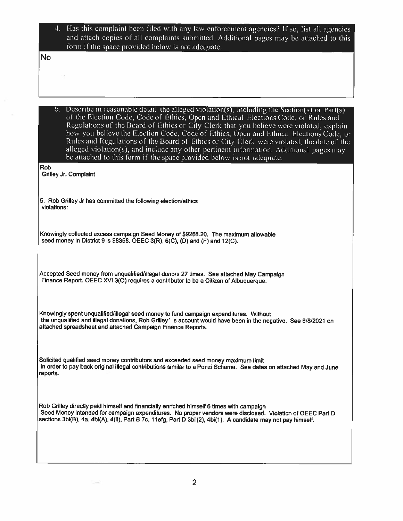| 4. Has this complaint been filed with any law enforcement agencies? If so, list all agencies<br>and attach copies of all complaints submitted. Additional pages may be attached to this<br>form if the space provided below is not adequate.                                                                                                                                                                                                                                                                                                                                                                                                 |
|----------------------------------------------------------------------------------------------------------------------------------------------------------------------------------------------------------------------------------------------------------------------------------------------------------------------------------------------------------------------------------------------------------------------------------------------------------------------------------------------------------------------------------------------------------------------------------------------------------------------------------------------|
| <b>No</b>                                                                                                                                                                                                                                                                                                                                                                                                                                                                                                                                                                                                                                    |
| 5. Describe in reasonable detail the alleged violation(s), including the Section(s) or Part(s)<br>of the Election Code, Code of Ethics, Open and Ethical Elections Code, or Rules and<br>Regulations of the Board of Ethics or City Clerk that you believe were violated, explain<br>how you believe the Election Code, Code of Ethics, Open and Ethical Elections Code, or<br>Rules and Regulations of the Board of Ethics or City Clerk were violated, the date of the<br>alleged violation(s), and include any other pertinent information. Additional pages may<br>be attached to this form if the space provided below is not adequate. |
| Rob<br>Grilley Jr. Complaint                                                                                                                                                                                                                                                                                                                                                                                                                                                                                                                                                                                                                 |
| 5. Rob Grilley Jr has committed the following election/ethics<br>violations:                                                                                                                                                                                                                                                                                                                                                                                                                                                                                                                                                                 |
| Knowingly collected excess campaign Seed Money of \$9268.20. The maximum allowable<br>seed money in District 9 is \$8358. OEEC 3(R), 6(C), (D) and (F) and 12(C).                                                                                                                                                                                                                                                                                                                                                                                                                                                                            |
| Accepted Seed money from unqualified/illegal donors 27 times. See attached May Campaign<br>Finance Report. OEEC XVI 3(O) requires a contributor to be a Citizen of Albuquerque.                                                                                                                                                                                                                                                                                                                                                                                                                                                              |
| Knowingly spent unqualified/illegal seed money to fund campaign expenditures. Without<br>the unqualified and illegal donations, Rob Grilley' s account would have been in the negative. See 6/8/2021 on<br>attached spreadsheet and attached Campaign Finance Reports.                                                                                                                                                                                                                                                                                                                                                                       |
| Solicited qualified seed money contributors and exceeded seed money maximum limit<br>in order to pay back original illegal contributions similar to a Ponzi Scheme. See dates on attached May and June<br>reports.                                                                                                                                                                                                                                                                                                                                                                                                                           |
| Rob Grilley directly paid himself and financially enriched himself 6 times with campaign<br>Seed Money intended for campaign expenditures. No proper vendors were disclosed. Violation of OEEC Part D<br>sections 3bi(B), 4a, 4bi(A), 4(ii), Part B 7c, 11efg, Part D 3bii(2), 4bi(1). A candidate may not pay himself.                                                                                                                                                                                                                                                                                                                      |
|                                                                                                                                                                                                                                                                                                                                                                                                                                                                                                                                                                                                                                              |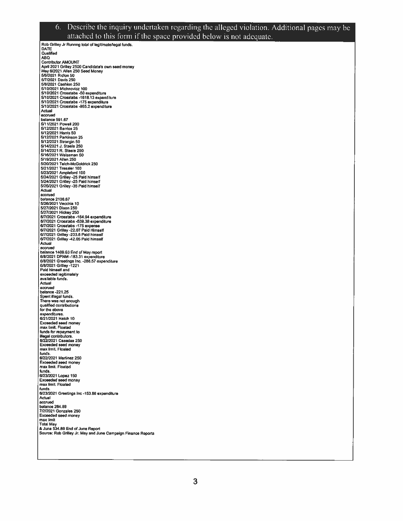### 6. Describe the inquiry undertaken regarding the alleged violation. Additional pages may be attached to this form if the space provided below is not adequate.

Rob Grilley Jr Runnng total of legitimate/legal funds. **DATE**<br>**Qualified**<br>**ABQ** Abu<br>| Contributor AMOUNT<br>| April 2021 Grilley 2500 Candidate's own seed money<br>| May 6/2021 Ridion 50<br>| 5/6/2021 Ridion 50 5/6/2021 Ridkon 50<br>5/7/2021 Davis 250<br>5/8/2021 Cashion 250<br>5/10/2021 Crosstabs -50 expenditure<br>5/10/2021 Crosstabs -1618.13 expenditure<br>5/10/2021 Crosstabs -175 expenditure<br>5/10/2021 Crosstabs -175 expenditure<br>5/10/2021 Cr Actual Processor<br>
Balance 591.67<br>
Sacrued<br>
5/11/2021 Powell 200<br>
5/12/2021 Barrios 25<br>
5/12/2021 Parkinson 25<br>
5/12/2021 Parkinson 25<br>
5/12/2021 Strongin 50<br>
5/14/2021 R. Steele 250<br>
5/16/2021 Welssman 50<br>
5/16/2021 Nelssman 50<br> accrued Actual accrued accrued<br>1926/2021 Vecchia 10<br>5/26/2021 Vecchia 10<br>5/27/2021 Hickey 250<br>6/7/2021 Crosstabs -164.94 expenditure<br>6/7/2021 Crosstabs -164.94 expenditure<br>6/7/2021 Crosstabs -539.38 expenditure 8/7/2021 Crossians -539.38 expended<br>6/7/2021 Crossiabs -175 expense<br>6/7/2021 Grilley -22.07 Paid Himself<br>6/7/2021 Grilley -203.6 Paid himself<br>6/7/2021 Grilley -42.05 Paid himself Actual From<br>1982<br>1982 - Danie Man Band, papert<br>1982 - San Maria 1983<br>1982 - Steelings Inc. - 286.57<br>1982 - Steelings Inc. - 286.57<br>1989 - Axpenditure 6/8/2021 Grilley -1221<br>Paid himself and exceeded legitimately<br>available funds.<br>Actual accrued balance -221.25 Spent illegal funds.<br>There was not enough qualified contributions for the above expenditures.<br>6/21/2021 Hatch 10 Exceeded seed money funds for repayment to illegal contributors 6/22/2021 Casadas 250 Exceeded seed money max limit. Floated funde 6/22/2021 Martinez 250 Exceeded seed money<br>max limit. Floated funds 6/23/2021 Lopez 150<br>Exceeded seed money<br>max limit. Floated funds 6/23/2021 Greetings Inc -153.86 expenditure Actual accrued balance 284.89 7/2/2021 Gonzales 250<br>Exceeded seed money max limit man milli<br>& June 534.89 End of June Report<br>Source: Rob Grilley Jr. May and June Campaign Finance Reports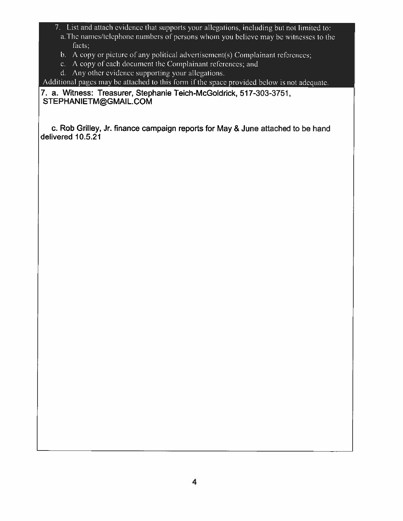- 7. List and attach evidence that supports your allegations, including but not limited to:
	- a. The names/telephone numbers of persons whom you believe may be witnesses to the facts;
	- b. A copy or picture of any political advertisement(s) Complainant references;
- c. A copy of each document the Complainant references; and
- d. Any other evidence supporting your allegations.

Additional pages may be attached to this form if the space provided below is not adequate.

7. a. Witness: Treasurer, Stephanie Teich-McGoldrick, 517-303-3751, STEPHANIETM@GMAIL.COM

c. Rob Grilley, Jr. finance campaign reports for May & June attached to be hand delivered 10.5.21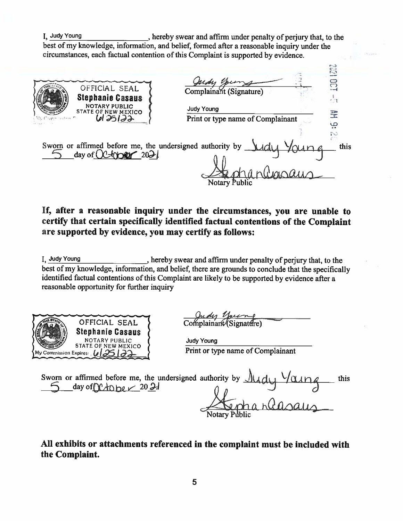I. Judy Young , hereby swear and affirm under penalty of perjury that, to the best of my knowledge, information, and belief, formed after a reasonable inquiry under the circumstances, each factual contention of this Complaint is supported by evidence.

| OFFICIAL SEAL<br><b>Stephanie Casaus</b>                                                         | Complainant (Signature)           | ్ర<br>E<br>13 |
|--------------------------------------------------------------------------------------------------|-----------------------------------|---------------|
| <b>NOTARY PUBLIC</b><br><b>STATE OF NEW MEXICO</b>                                               | <b>Judy Young</b>                 |               |
| <b>UIDSIDA</b><br><b>Springford</b>                                                              | Print or type name of Complainant | 臣<br>ڝ۪       |
|                                                                                                  |                                   |               |
| Sworn or affirmed before me, the undersigned authority by<br>$\frac{1}{2}$ day of $[0.4000]$ 200 |                                   | this          |
|                                                                                                  |                                   |               |
|                                                                                                  |                                   |               |
|                                                                                                  | Notary Public                     |               |

# If, after a reasonable inquiry under the circumstances, you are unable to certify that certain specifically identified factual contentions of the Complaint are supported by evidence, you may certify as follows:

**I.** Judy Young , hereby swear and affirm under penalty of perjury that, to the best of my knowledge, information, and belief, there are grounds to conclude that the specifically identified factual contentions of this Complaint are likely to be supported by evidence after a reasonable opportunity for further inquiry



Oudy Young

**Judy Young** Print or type name of Complainant

Sworn or affirmed before me, the undersigned authority by  $\frac{1}{4}$   $\frac{1}{4}$ this

All exhibits or attachments referenced in the complaint must be included with the Complaint.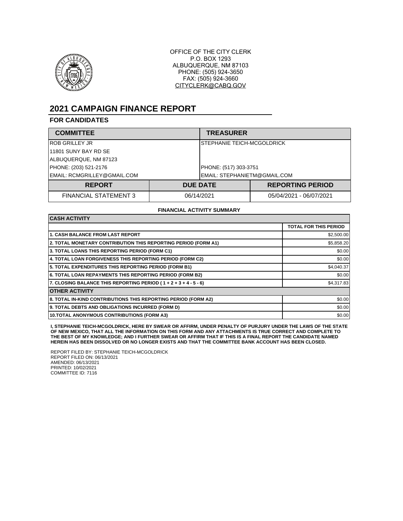

OFFICE OF THE CITY CLERK P.O. BOX 1293 ALBUQUERQUE, NM 87103 PHONE: (505) 924-3650 FAX: (505) 924-3660 CITYCLERK@CABQ.GOV

## **2021 CAMPAIGN FINANCE REPORT**

#### **FOR CANDIDATES**

| <b>COMMITTEE</b>             | <b>TREASURER</b>             |                         |
|------------------------------|------------------------------|-------------------------|
| <b>ROB GRILLEY JR</b>        | STEPHANIE TEICH-MCGOLDRICK   |                         |
| 11801 SUNY BAY RD SE         |                              |                         |
| ALBUQUERQUE, NM 87123        |                              |                         |
| PHONE: (203) 521-2176        | PHONE: (517) 303-3751        |                         |
| EMAIL: RCMGRILLEY@GMAIL.COM  | EMAIL: STEPHANIETM@GMAIL.COM |                         |
| <b>REPORT</b>                | <b>DUE DATE</b>              | <b>REPORTING PERIOD</b> |
| <b>FINANCIAL STATEMENT 3</b> | 06/14/2021                   | 05/04/2021 - 06/07/2021 |

#### **FINANCIAL ACTIVITY SUMMARY**

| <b>CASH ACTIVITY</b>                                                 |                              |
|----------------------------------------------------------------------|------------------------------|
|                                                                      | <b>TOTAL FOR THIS PERIOD</b> |
| <b>1. CASH BALANCE FROM LAST REPORT</b>                              | \$2,500.00                   |
| 2. TOTAL MONETARY CONTRIBUTION THIS REPORTING PERIOD (FORM A1)       | \$5,858.20                   |
| 3. TOTAL LOANS THIS REPORTING PERIOD (FORM C1)                       | \$0.00                       |
| 4. TOTAL LOAN FORGIVENESS THIS REPORTING PERIOD (FORM C2)            | \$0.00                       |
| 5. TOTAL EXPENDITURES THIS REPORTING PERIOD (FORM B1)                | \$4,040.37                   |
| 6. TOTAL LOAN REPAYMENTS THIS REPORTING PERIOD (FORM B2)             | \$0.00                       |
| 7. CLOSING BALANCE THIS REPORTING PERIOD ( $1 + 2 + 3 + 4 - 5 - 6$ ) | \$4,317.83                   |
| <b>OTHER ACTIVITY</b>                                                |                              |
| 8. TOTAL IN-KIND CONTRIBUTIONS THIS REPORTING PERIOD (FORM A2)       | \$0.00                       |
| 9. TOTAL DEBTS AND OBLIGATIONS INCURRED (FORM D)                     | \$0.00                       |
| 10. TOTAL ANONYMOUS CONTRIBUTIONS (FORM A3)                          | \$0.00                       |

**I, STEPHANIE TEICH-MCGOLDRICK, HERE BY SWEAR OR AFFIRM, UNDER PENALTY OF PURJURY UNDER THE LAWS OF THE STATE**  OF NEW MEXICO, THAT ALL THE INFORMATION ON THIS FORM AND ANY ATTACHMENTS IS TRUE CORRECT AND COMPLETE TO<br>THE BEST OF MY KNOWLEDGE; AND I FURTHER SWEAR OR AFFIRM THAT IF THIS IS A FINAL REPORT THE CANDIDATE NAMED<br>HEREIN HAS

REPORT FILED BY: STEPHANIE TEICH-MCGOLDRICK REPORT FILED ON: 06/13/2021 AMENDED: 06/13/2021 PRINTED: 10/02/2021 COMMITTEE ID: 7116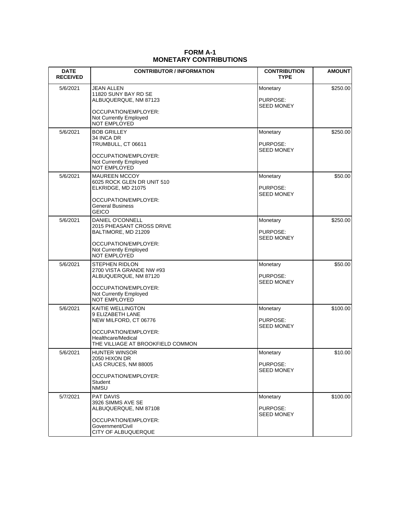### **FORM A-1 MONETARY CONTRIBUTIONS**

| <b>DATE</b><br><b>RECEIVED</b> | <b>CONTRIBUTOR / INFORMATION</b>                                                                                                                  | <b>CONTRIBUTION</b><br><b>TYPE</b>        | <b>AMOUNT</b> |
|--------------------------------|---------------------------------------------------------------------------------------------------------------------------------------------------|-------------------------------------------|---------------|
| 5/6/2021                       | JEAN ALLEN<br>11820 SUNY BAY RD SE<br>ALBUQUERQUE, NM 87123<br>OCCUPATION/EMPLOYER:<br>Not Currently Employed<br>NOT EMPLOYED                     | Monetary<br>PURPOSE:<br><b>SEED MONEY</b> | \$250.00      |
| 5/6/2021                       | <b>BOB GRILLEY</b><br>34 INCA DR<br>TRUMBULL, CT 06611<br>OCCUPATION/EMPLOYER:<br>Not Currently Employed<br><b>NOT EMPLOYED</b>                   | Monetary<br>PURPOSE:<br><b>SEED MONEY</b> | \$250.00      |
| 5/6/2021                       | <b>MAUREEN MCCOY</b><br>6025 ROCK GLEN DR UNIT 510<br>ELKRIDGE, MD 21075<br>OCCUPATION/EMPLOYER:<br>General Business<br><b>GEICO</b>              | Monetary<br>PURPOSE:<br>SEED MONEY        | \$50.00       |
| 5/6/2021                       | DANIEL O'CONNELL<br>2015 PHEASANT CROSS DRIVE<br>BALTIMORE, MD 21209<br>OCCUPATION/EMPLOYER:<br>Not Currently Employed<br>NOT EMPLOYED            | Monetary<br>PURPOSE:<br><b>SEED MONEY</b> | \$250.00      |
| 5/6/2021                       | STEPHEN RIDLON<br>2700 VISTA GRANDE NW #93<br>ALBUQUERQUE, NM 87120<br>OCCUPATION/EMPLOYER:<br>Not Currently Employed<br><b>NOT EMPLOYED</b>      | Monetary<br>PURPOSE:<br><b>SEED MONEY</b> | \$50.00       |
| 5/6/2021                       | KAITIE WELLINGTON<br>9 ELIZABETH LANE<br>NEW MILFORD, CT 06776<br>OCCUPATION/EMPLOYER:<br>Healthcare/Medical<br>THE VILLIAGE AT BROOKFIELD COMMON | Monetary<br>PURPOSE:<br><b>SEED MONEY</b> | \$100.00      |
| 5/6/2021                       | HUNTER WINSOR<br>2050 HIXON DR<br>LAS CRUCES, NM 88005<br>OCCUPATION/EMPLOYER:<br>Student<br>NMSU                                                 | Monetary<br>PURPOSE:<br><b>SEED MONEY</b> | \$10.00       |
| 5/7/2021                       | PAT DAVIS<br>3926 SIMMS AVE SE<br>ALBUQUERQUE, NM 87108<br>OCCUPATION/EMPLOYER:<br>Government/Civil<br>CITY OF ALBUQUERQUE                        | Monetary<br>PURPOSE:<br><b>SEED MONEY</b> | \$100.00      |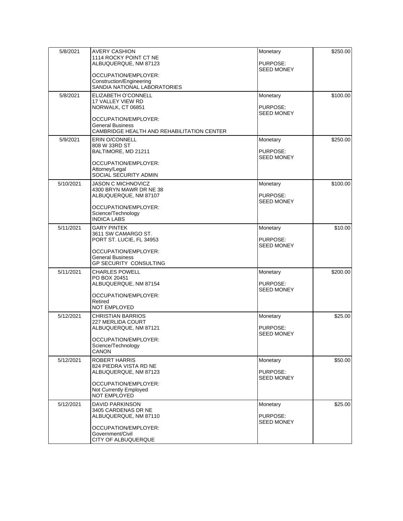| 5/8/2021  | AVERY CASHION<br>1114 ROCKY POINT CT NE<br>ALBUQUERQUE, NM 87123<br>OCCUPATION/EMPLOYER:<br>Construction/Engineering<br>SANDIA NATIONAL LABORATORIES           | Monetary<br>PURPOSE:<br>SEED MONEY        | \$250.00 |
|-----------|----------------------------------------------------------------------------------------------------------------------------------------------------------------|-------------------------------------------|----------|
| 5/8/2021  | ELIZABETH O'CONNELL<br>17 VALLEY VIEW RD<br>NORWALK, CT 06851<br>OCCUPATION/EMPLOYER:<br><b>General Business</b><br>CAMBRIDGE HEALTH AND REHABILITATION CENTER | Monetary<br>PURPOSE:<br><b>SEED MONEY</b> | \$100.00 |
| 5/9/2021  | <b>ERIN O/CONNELL</b><br>808 W 33RD ST<br>BALTIMORE, MD 21211<br>OCCUPATION/EMPLOYER:<br>Attorney/Legal<br>SOCIAL SECURITY ADMIN                               | Monetary<br>PURPOSE:<br><b>SEED MONEY</b> | \$250.00 |
| 5/10/2021 | <b>JASON C MICHNOVICZ</b><br>4300 BRYN MAWR DR NE 38<br>ALBUQUERQUE, NM 87107<br>OCCUPATION/EMPLOYER:<br>Science/Technology<br><b>INDICA LABS</b>              | Monetary<br>PURPOSE:<br><b>SEED MONEY</b> | \$100.00 |
| 5/11/2021 | <b>GARY PINTEK</b><br>3611 SW CAMARGO ST.<br>PORT ST. LUCIE, FL 34953<br>OCCUPATION/EMPLOYER:<br><b>General Business</b><br><b>GP SECURITY CONSULTING</b>      | Monetary<br>PURPOSE:<br><b>SEED MONEY</b> | \$10.00  |
| 5/11/2021 | <b>CHARLES POWELL</b><br>PO BOX 20451<br>ALBUQUERQUE, NM 87154<br>OCCUPATION/EMPLOYER:<br>Retired<br>NOT EMPLOYED                                              | Monetary<br>PURPOSE:<br><b>SEED MONEY</b> | \$200.00 |
| 5/12/2021 | <b>CHRISTIAN BARRIOS</b><br>227 MERLIDA COURT<br>ALBUQUERQUE, NM 87121<br>OCCUPATION/EMPLOYER:<br>Science/Technology<br>CANON                                  | Monetary<br>PURPOSE:<br>SEED MONEY        | \$25.00  |
| 5/12/2021 | ROBERT HARRIS<br>824 PIEDRA VISTA RD NE<br>ALBUQUERQUE, NM 87123<br>OCCUPATION/EMPLOYER:<br>Not Currently Employed<br>NOT EMPLOYED                             | Monetary<br>PURPOSE:<br><b>SEED MONEY</b> | \$50.00  |
| 5/12/2021 | <b>DAVID PARKINSON</b><br>3405 CARDENAS DR NE<br>ALBUQUERQUE, NM 87110<br>OCCUPATION/EMPLOYER:<br>Government/Civil<br>CITY OF ALBUQUERQUE                      | Monetary<br>PURPOSE:<br><b>SEED MONEY</b> | \$25.00  |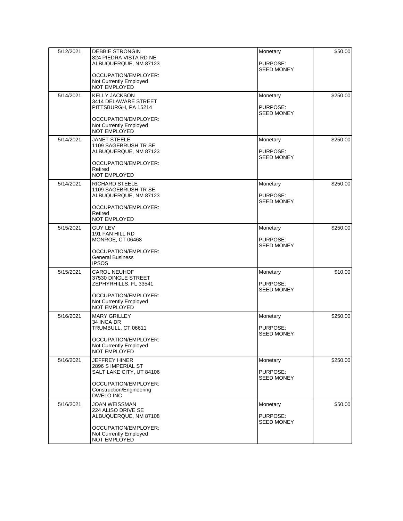| 5/12/2021 | <b>DEBBIE STRONGIN</b><br>824 PIEDRA VISTA RD NE<br>ALBUQUERQUE, NM 87123<br>OCCUPATION/EMPLOYER:<br>Not Currently Employed<br>NOT EMPLOYED    | Monetary<br>PURPOSE:<br><b>SEED MONEY</b> | \$50.00  |
|-----------|------------------------------------------------------------------------------------------------------------------------------------------------|-------------------------------------------|----------|
| 5/14/2021 | <b>KELLY JACKSON</b><br>3414 DELAWARE STREET<br>PITTSBURGH, PA 15214<br>OCCUPATION/EMPLOYER:<br>Not Currently Employed<br>NOT EMPLOYED         | Monetary<br>PURPOSE:<br><b>SEED MONEY</b> | \$250.00 |
| 5/14/2021 | <b>JANET STEELE</b><br>1109 SAGEBRUSH TR SE<br>ALBUQUERQUE, NM 87123<br>OCCUPATION/EMPLOYER:<br>Retired<br>NOT EMPLOYED                        | Monetary<br>PURPOSE:<br><b>SEED MONEY</b> | \$250.00 |
| 5/14/2021 | RICHARD STEELE<br>1109 SAGEBRUSH TR SE<br>ALBUQUERQUE, NM 87123<br>OCCUPATION/EMPLOYER:<br>Retired<br>NOT EMPLOYED                             | Monetary<br>PURPOSE:<br><b>SEED MONEY</b> | \$250.00 |
| 5/15/2021 | <b>GUY LEV</b><br>191 FAN HILL RD<br>MONROE, CT 06468<br>OCCUPATION/EMPLOYER:<br><b>General Business</b><br><b>IPSOS</b>                       | Monetary<br>PURPOSE:<br><b>SEED MONEY</b> | \$250.00 |
| 5/15/2021 | CAROL NEUHOF<br>37530 DINGLE STREET<br>ZEPHYRHILLS, FL 33541<br>OCCUPATION/EMPLOYER:<br>Not Currently Employed<br>NOT EMPLOYED                 | Monetary<br>PURPOSE:<br><b>SEED MONEY</b> | \$10.00  |
| 5/16/2021 | <b>MARY GRILLEY</b><br>34 INCA DR<br>TRUMBULL, CT 06611<br>OCCUPATION/EMPLOYER:<br>Not Currently Employed<br>NOT EMPLOYED                      | Monetary<br>PURPOSE:<br><b>SEED MONEY</b> | \$250.00 |
| 5/16/2021 | <b>JEFFREY HINER</b><br>2896 S IMPERIAL ST<br>SALT LAKE CITY, UT 84106<br>OCCUPATION/EMPLOYER:<br>Construction/Engineering<br><b>DWELO INC</b> | Monetary<br>PURPOSE:<br>SEED MONEY        | \$250.00 |
| 5/16/2021 | JOAN WEISSMAN<br>224 ALISO DRIVE SE<br>ALBUQUERQUE, NM 87108<br>OCCUPATION/EMPLOYER:<br>Not Currently Employed<br>NOT EMPLOYED                 | Monetary<br>PURPOSE:<br><b>SEED MONEY</b> | \$50.00  |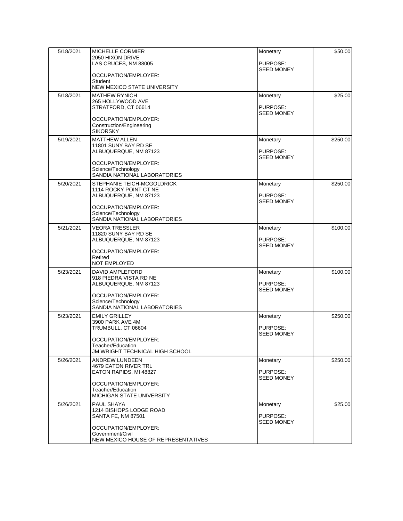| 5/18/2021 | <b>MICHELLE CORMIER</b>                              | Monetary                      | \$50.00  |
|-----------|------------------------------------------------------|-------------------------------|----------|
|           | 2050 HIXON DRIVE<br>LAS CRUCES, NM 88005             | PURPOSE:                      |          |
|           | OCCUPATION/EMPLOYER:                                 | <b>SEED MONEY</b>             |          |
|           | Student                                              |                               |          |
| 5/18/2021 | NEW MEXICO STATE UNIVERSITY<br><b>MATHEW RYNICH</b>  | Monetary                      | \$25.00  |
|           | 265 HOLLYWOOD AVE                                    |                               |          |
|           | STRATFORD, CT 06614                                  | PURPOSE:<br><b>SEED MONEY</b> |          |
|           | OCCUPATION/EMPLOYER:<br>Construction/Engineering     |                               |          |
|           | <b>SIKORSKY</b>                                      |                               |          |
| 5/19/2021 | <b>MATTHEW ALLEN</b><br>11801 SUNY BAY RD SE         | Monetary                      | \$250.00 |
|           | ALBUQUERQUE, NM 87123                                | PURPOSE:                      |          |
|           | OCCUPATION/EMPLOYER:                                 | <b>SEED MONEY</b>             |          |
|           | Science/Technology<br>SANDIA NATIONAL LABORATORIES   |                               |          |
| 5/20/2021 | STEPHANIE TEICH-MCGOLDRICK                           | Monetary                      | \$250.00 |
|           | 1114 ROCKY POINT CT NE                               |                               |          |
|           | ALBUQUERQUE, NM 87123                                | PURPOSE:<br><b>SEED MONEY</b> |          |
|           | OCCUPATION/EMPLOYER:<br>Science/Technology           |                               |          |
|           | SANDIA NATIONAL LABORATORIES                         |                               |          |
| 5/21/2021 | <b>VEORA TRESSLER</b>                                | Monetary                      | \$100.00 |
|           | 11820 SUNY BAY RD SE<br>ALBUQUERQUE, NM 87123        | PURPOSE:                      |          |
|           | OCCUPATION/EMPLOYER:                                 | <b>SEED MONEY</b>             |          |
|           | Retired                                              |                               |          |
| 5/23/2021 | NOT EMPLOYED<br>DAVID AMPLEFORD                      | Monetary                      | \$100.00 |
|           | 918 PIEDRA VISTA RD NE                               |                               |          |
|           | ALBUQUERQUE, NM 87123                                | PURPOSE:<br><b>SEED MONEY</b> |          |
|           | OCCUPATION/EMPLOYER:<br>Science/Technology           |                               |          |
|           | SANDIA NATIONAL LABORATORIES                         |                               |          |
| 5/23/2021 | <b>EMILY GRILLEY</b><br>3900 PARK AVE 4M             | Monetary                      | \$250.00 |
|           | TRUMBULL, CT 06604                                   | PURPOSE:                      |          |
|           | OCCUPATION/EMPLOYER:                                 | <b>SEED MONEY</b>             |          |
|           | Teacher/Education<br>JM WRIGHT TECHNICAL HIGH SCHOOL |                               |          |
| 5/26/2021 | ANDREW LUNDEEN                                       | Monetary                      | \$250.00 |
|           | 4679 EATON RIVER TRL                                 |                               |          |
|           | EATON RAPIDS, MI 48827                               | PURPOSE:<br><b>SEED MONEY</b> |          |
|           | OCCUPATION/EMPLOYER:<br>Teacher/Education            |                               |          |
|           | MICHIGAN STATE UNIVERSITY                            |                               |          |
| 5/26/2021 | PAUL SHAYA<br>1214 BISHOPS LODGE ROAD                | Monetary                      | \$25.00  |
|           | SANTA FE, NM 87501                                   | PURPOSE:                      |          |
|           | OCCUPATION/EMPLOYER:                                 | <b>SEED MONEY</b>             |          |
|           | Government/Civil                                     |                               |          |
|           | NEW MEXICO HOUSE OF REPRESENTATIVES                  |                               |          |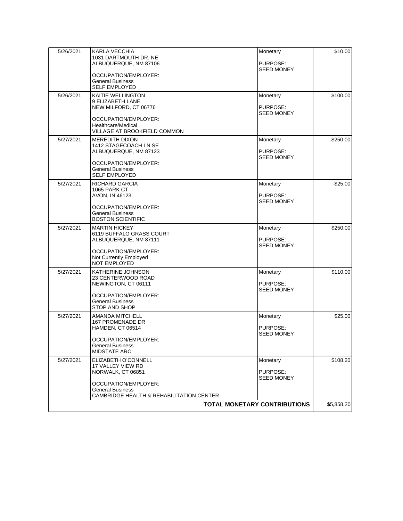| 5/26/2021                           | KARLA VECCHIA<br>1031 DARTMOUTH DR. NE<br>ALBUQUERQUE, NM 87106<br>OCCUPATION/EMPLOYER:<br><b>General Business</b>                                            | Monetary<br>PURPOSE:<br><b>SEED MONEY</b> | \$10.00    |
|-------------------------------------|---------------------------------------------------------------------------------------------------------------------------------------------------------------|-------------------------------------------|------------|
| 5/26/2021                           | SELF EMPLOYED<br>KAITIE WELLINGTON<br>9 ELIZABETH LANE<br>NEW MILFORD, CT 06776<br>OCCUPATION/EMPLOYER:<br>Healthcare/Medical<br>VILLAGE AT BROOKFIELD COMMON | Monetary<br>PURPOSE:<br><b>SEED MONEY</b> | \$100.00   |
| 5/27/2021                           | <b>MEREDITH DIXON</b><br>1412 STAGECOACH LN SE<br>ALBUQUERQUE, NM 87123<br>OCCUPATION/EMPLOYER:<br>General Business<br>SELF EMPLOYED                          | Monetary<br>PURPOSE:<br><b>SEED MONEY</b> | \$250.00   |
| 5/27/2021                           | RICHARD GARCIA<br>1065 PARK CT<br>AVON, IN 46123<br>OCCUPATION/EMPLOYER:<br><b>General Business</b><br><b>BOSTON SCIENTIFIC</b>                               | Monetary<br>PURPOSE:<br><b>SEED MONEY</b> | \$25.00    |
| 5/27/2021                           | <b>MARTIN HICKEY</b><br>6119 BUFFALO GRASS COURT<br>ALBUQUERQUE, NM 87111<br>OCCUPATION/EMPLOYER:<br>Not Currently Employed<br>NOT EMPLOYED                   | Monetary<br>PURPOSE:<br><b>SEED MONEY</b> | \$250.00   |
| 5/27/2021                           | KATHERINE JOHNSON<br>23 CENTERWOOD ROAD<br>NEWINGTON, CT 06111<br>OCCUPATION/EMPLOYER:<br><b>General Business</b><br>STOP AND SHOP                            | Monetary<br>PURPOSE:<br><b>SEED MONEY</b> | \$110.00   |
| 5/27/2021                           | AMANDA MITCHELL<br><b>167 PROMENADE DR</b><br>HAMDEN, CT 06514<br>OCCUPATION/EMPLOYER:<br><b>General Business</b><br><b>MIDSTATE ARC</b>                      | Monetary<br>PURPOSE:<br><b>SEED MONEY</b> | \$25.00    |
| 5/27/2021                           | ELIZABETH O'CONNELL<br>17 VALLEY VIEW RD<br>NORWALK, CT 06851<br>OCCUPATION/EMPLOYER:<br><b>General Business</b><br>CAMBRIDGE HEALTH & REHABILITATION CENTER  | Monetary<br>PURPOSE:<br><b>SEED MONEY</b> | \$108.20   |
| <b>TOTAL MONETARY CONTRIBUTIONS</b> |                                                                                                                                                               |                                           | \$5,858.20 |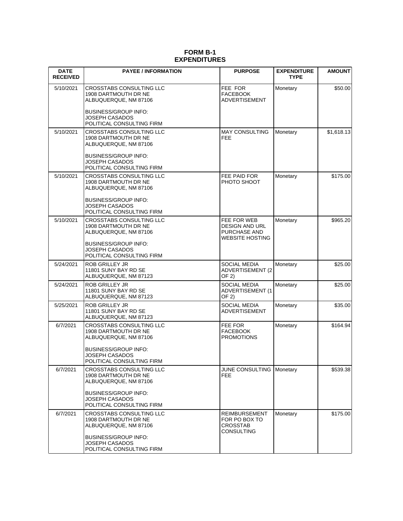### **FORM B-1 EXPENDITURES**

| <b>DATE</b><br><b>RECEIVED</b> | <b>PAYEE / INFORMATION</b>                                                        | <b>PURPOSE</b>                                                                 | <b>EXPENDITURE</b><br><b>TYPE</b> | <b>AMOUNT</b> |
|--------------------------------|-----------------------------------------------------------------------------------|--------------------------------------------------------------------------------|-----------------------------------|---------------|
| 5/10/2021                      | CROSSTABS CONSULTING LLC<br>1908 DARTMOUTH DR NE<br>ALBUQUERQUE, NM 87106         | FEE FOR<br><b>FACEBOOK</b><br><b>ADVERTISEMENT</b>                             | Monetary                          | \$50.00       |
|                                | <b>BUSINESS/GROUP INFO:</b><br><b>JOSEPH CASADOS</b><br>POLITICAL CONSULTING FIRM |                                                                                |                                   |               |
| 5/10/2021                      | <b>CROSSTABS CONSULTING LLC</b><br>1908 DARTMOUTH DR NE<br>ALBUQUERQUE, NM 87106  | <b>MAY CONSULTING</b><br><b>FEE</b>                                            | Monetary                          | \$1,618.13    |
|                                | <b>BUSINESS/GROUP INFO:</b><br>JOSEPH CASADOS<br>POLITICAL CONSULTING FIRM        |                                                                                |                                   |               |
| 5/10/2021                      | CROSSTABS CONSULTING LLC<br>1908 DARTMOUTH DR NE<br>ALBUQUERQUE, NM 87106         | FEE PAID FOR<br>PHOTO SHOOT                                                    | Monetary                          | \$175.00      |
|                                | <b>BUSINESS/GROUP INFO:</b><br>JOSEPH CASADOS<br>POLITICAL CONSULTING FIRM        |                                                                                |                                   |               |
| 5/10/2021                      | CROSSTABS CONSULTING LLC<br>1908 DARTMOUTH DR NE<br>ALBUQUERQUE, NM 87106         | FEE FOR WEB<br><b>DESIGN AND URL</b><br><b>PURCHASE AND</b><br>WEBSITE HOSTING | Monetary                          | \$965.20      |
|                                | <b>BUSINESS/GROUP INFO:</b><br>JOSEPH CASADOS<br>POLITICAL CONSULTING FIRM        |                                                                                |                                   |               |
| 5/24/2021                      | <b>ROB GRILLEY JR</b><br>11801 SUNY BAY RD SE<br>ALBUQUERQUE, NM 87123            | <b>SOCIAL MEDIA</b><br><b>ADVERTISEMENT (2)</b><br>OF 2)                       | Monetary                          | \$25.00       |
| 5/24/2021                      | ROB GRILLEY JR<br>11801 SUNY BAY RD SE<br>ALBUQUERQUE, NM 87123                   | <b>SOCIAL MEDIA</b><br><b>ADVERTISEMENT (1</b><br>OF 2)                        | Monetary                          | \$25.00       |
| 5/25/2021                      | <b>ROB GRILLEY JR</b><br>11801 SUNY BAY RD SE<br>ALBUQUERQUE, NM 87123            | <b>SOCIAL MEDIA</b><br>ADVERTISEMENT                                           | Monetary                          | \$35.00       |
| 6/7/2021                       | <b>CROSSTABS CONSULTING LLC</b><br>1908 DARTMOUTH DR NE<br>ALBUQUERQUE, NM 87106  | FEE FOR<br><b>FACEBOOK</b><br><b>PROMOTIONS</b>                                | Monetary                          | \$164.94      |
|                                | <b>BUSINESS/GROUP INFO:</b><br>JOSEPH CASADOS<br>POLITICAL CONSULTING FIRM        |                                                                                |                                   |               |
| 6/7/2021                       | CROSSTABS CONSULTING LLC<br>1908 DARTMOUTH DR NE<br>ALBUQUERQUE, NM 87106         | <b>JUNE CONSULTING Monetary</b><br><b>FEE</b>                                  |                                   | \$539.38      |
|                                | <b>BUSINESS/GROUP INFO:</b><br>JOSEPH CASADOS<br>POLITICAL CONSULTING FIRM        |                                                                                |                                   |               |
| 6/7/2021                       | CROSSTABS CONSULTING LLC<br>1908 DARTMOUTH DR NE<br>ALBUQUERQUE, NM 87106         | <b>REIMBURSEMENT</b><br>FOR PO BOX TO<br><b>CROSSTAB</b><br>CONSULTING         | Monetary                          | \$175.00      |
|                                | <b>BUSINESS/GROUP INFO:</b><br><b>JOSEPH CASADOS</b><br>POLITICAL CONSULTING FIRM |                                                                                |                                   |               |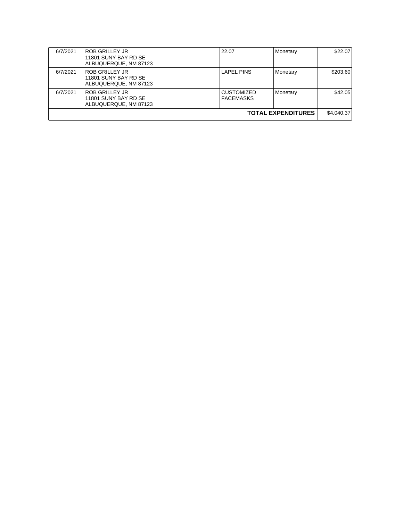| 6/7/2021 | IROB GRILLEY JR<br>11801 SUNY BAY RD SE<br>ALBUQUERQUE, NM 87123 | 22.07                                 | Monetary                  | \$22.07    |
|----------|------------------------------------------------------------------|---------------------------------------|---------------------------|------------|
| 6/7/2021 | IROB GRILLEY JR<br>11801 SUNY BAY RD SE<br>ALBUQUERQUE, NM 87123 | <b>LAPEL PINS</b>                     | <b>Monetary</b>           | \$203.60   |
| 6/7/2021 | IROB GRILLEY JR<br>11801 SUNY BAY RD SE<br>ALBUQUERQUE, NM 87123 | <b>CUSTOMIZED</b><br><b>FACEMASKS</b> | <b>Monetary</b>           | \$42.05    |
|          |                                                                  |                                       | <b>TOTAL EXPENDITURES</b> | \$4,040.37 |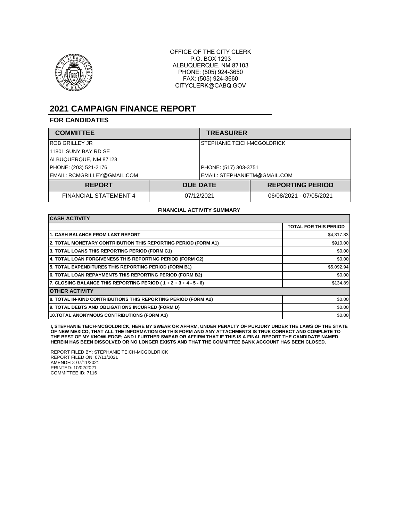

OFFICE OF THE CITY CLERK P.O. BOX 1293 ALBUQUERQUE, NM 87103 PHONE: (505) 924-3650 FAX: (505) 924-3660 CITYCLERK@CABQ.GOV

## **2021 CAMPAIGN FINANCE REPORT**

#### **FOR CANDIDATES**

| <b>COMMITTEE</b>             |  | <b>TREASURER</b>             |                         |
|------------------------------|--|------------------------------|-------------------------|
| <b>ROB GRILLEY JR</b>        |  | STEPHANIE TEICH-MCGOLDRICK   |                         |
| 11801 SUNY BAY RD SE         |  |                              |                         |
| ALBUQUERQUE, NM 87123        |  |                              |                         |
| PHONE: (203) 521-2176        |  | PHONE: (517) 303-3751        |                         |
| EMAIL: RCMGRILLEY@GMAIL.COM  |  | EMAIL: STEPHANIETM@GMAIL.COM |                         |
| <b>REPORT</b>                |  | <b>DUE DATE</b>              | <b>REPORTING PERIOD</b> |
| <b>FINANCIAL STATEMENT 4</b> |  | 07/12/2021                   | 06/08/2021 - 07/05/2021 |

#### **FINANCIAL ACTIVITY SUMMARY**

| <b>CASH ACTIVITY</b>                                                 |                              |
|----------------------------------------------------------------------|------------------------------|
|                                                                      | <b>TOTAL FOR THIS PERIOD</b> |
| <b>1. CASH BALANCE FROM LAST REPORT</b>                              | \$4,317.83                   |
| 2. TOTAL MONETARY CONTRIBUTION THIS REPORTING PERIOD (FORM A1)       | \$910.00                     |
| 3. TOTAL LOANS THIS REPORTING PERIOD (FORM C1)                       | \$0.00                       |
| 4. TOTAL LOAN FORGIVENESS THIS REPORTING PERIOD (FORM C2)            | \$0.00                       |
| 5. TOTAL EXPENDITURES THIS REPORTING PERIOD (FORM B1)                | \$5,092.94                   |
| 6. TOTAL LOAN REPAYMENTS THIS REPORTING PERIOD (FORM B2)             | \$0.00                       |
| 7. CLOSING BALANCE THIS REPORTING PERIOD ( $1 + 2 + 3 + 4 - 5 - 6$ ) | \$134.89                     |
| <b>OTHER ACTIVITY</b>                                                |                              |
| 8. TOTAL IN-KIND CONTRIBUTIONS THIS REPORTING PERIOD (FORM A2)       | \$0.00                       |
| 9. TOTAL DEBTS AND OBLIGATIONS INCURRED (FORM D)                     | \$0.00                       |
| 10. TOTAL ANONYMOUS CONTRIBUTIONS (FORM A3)                          | \$0.00                       |

**I, STEPHANIE TEICH-MCGOLDRICK, HERE BY SWEAR OR AFFIRM, UNDER PENALTY OF PURJURY UNDER THE LAWS OF THE STATE**  OF NEW MEXICO, THAT ALL THE INFORMATION ON THIS FORM AND ANY ATTACHMENTS IS TRUE CORRECT AND COMPLETE TO<br>THE BEST OF MY KNOWLEDGE; AND I FURTHER SWEAR OR AFFIRM THAT IF THIS IS A FINAL REPORT THE CANDIDATE NAMED<br>HEREIN HAS

REPORT FILED BY: STEPHANIE TEICH-MCGOLDRICK REPORT FILED ON: 07/11/2021 AMENDED: 07/11/2021 PRINTED: 10/02/2021 COMMITTEE ID: 7116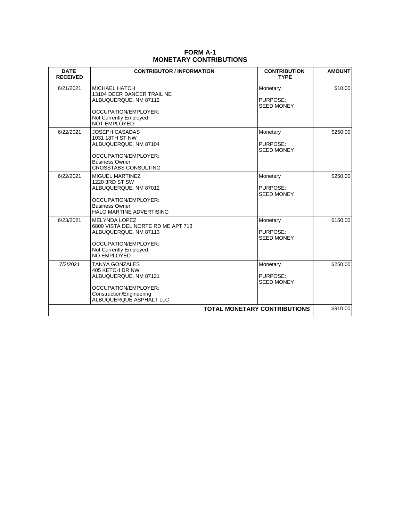### **FORM A-1 MONETARY CONTRIBUTIONS**

| <b>DATE</b><br><b>RECEIVED</b>      | <b>CONTRIBUTOR / INFORMATION</b>                                                                                                                            | <b>CONTRIBUTION</b><br><b>TYPE</b>        | <b>AMOUNT</b> |
|-------------------------------------|-------------------------------------------------------------------------------------------------------------------------------------------------------------|-------------------------------------------|---------------|
| 6/21/2021                           | <b>MICHAEL HATCH</b><br>13104 DEER DANCER TRAIL NE<br>ALBUQUERQUE, NM 87112<br>OCCUPATION/EMPLOYER:<br>Not Currently Employed<br>NOT EMPLOYED               | Monetary<br>PURPOSE:<br><b>SEED MONEY</b> | \$10.00       |
| 6/22/2021                           | <b>JOSEPH CASADAS</b><br>1031 18TH ST NW<br>ALBUQUERQUE, NM 87104<br>OCCUPATION/EMPLOYER:<br><b>Business Owner</b><br><b>CROSSTABS CONSULTING</b>           | Monetary<br>PURPOSE:<br><b>SEED MONEY</b> | \$250.00      |
| 6/22/2021                           | <b>MIGUEL MARTINEZ</b><br>1220 3RD ST SW<br>ALBUQUERQUE, NM 87012<br>OCCUPATION/EMPLOYER:<br><b>Business Owner</b><br><b>HALO MARTINE ADVERTISING</b>       | Monetary<br>PURPOSE:<br><b>SEED MONEY</b> | \$250.00      |
| 6/23/2021                           | <b>MELYNDA LOPEZ</b><br>6800 VISTA DEL NORTE RD ME APT 713<br>ALBUQUERQUE, NM 87113<br>OCCUPATION/EMPLOYER:<br>Not Currently Employed<br><b>NO EMPLOYED</b> | Monetary<br>PURPOSE:<br><b>SEED MONEY</b> | \$150.00      |
| 7/2/2021                            | <b>TANYA GONZALES</b><br>405 KETCH DR NW<br>ALBUQUERQUE, NM 87121<br>OCCUPATION/EMPLOYER:<br>Construction/Engineering<br>ALBUQUERQUE ASPHALT LLC            | Monetary<br>PURPOSE:<br><b>SEED MONEY</b> | \$250.00      |
| <b>TOTAL MONETARY CONTRIBUTIONS</b> |                                                                                                                                                             |                                           |               |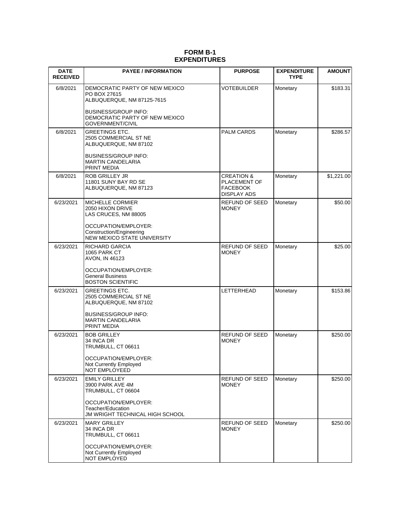### **FORM B-1 EXPENDITURES**

| <b>DATE</b><br><b>RECEIVED</b> | <b>PAYEE / INFORMATION</b>                                                      | <b>PURPOSE</b>                                                          | <b>EXPENDITURE</b><br><b>TYPE</b> | <b>AMOUNT</b> |
|--------------------------------|---------------------------------------------------------------------------------|-------------------------------------------------------------------------|-----------------------------------|---------------|
| 6/8/2021                       | DEMOCRATIC PARTY OF NEW MEXICO<br>PO BOX 27615<br>ALBUQUERQUE, NM 87125-7615    | <b>VOTEBUILDER</b>                                                      | Monetary                          | \$183.31      |
|                                | BUSINESS/GROUP INFO:<br>DEMOCRATIC PARTY OF NEW MEXICO<br>GOVERNMENT/CIVIL      |                                                                         |                                   |               |
| 6/8/2021                       | <b>GREETINGS ETC.</b><br>2505 COMMERCIAL ST NE<br>ALBUQUERQUE, NM 87102         | <b>PALM CARDS</b>                                                       | Monetary                          | \$286.57      |
|                                | <b>BUSINESS/GROUP INFO:</b><br><b>MARTIN CANDELARIA</b><br>PRINT MEDIA          |                                                                         |                                   |               |
| 6/8/2021                       | <b>ROB GRILLEY JR</b><br>11801 SUNY BAY RD SE<br>ALBUQUERQUE, NM 87123          | <b>CREATION &amp;</b><br>PLACEMENT OF<br><b>FACEBOOK</b><br>DISPLAY ADS | Monetary                          | \$1,221.00    |
| 6/23/2021                      | MICHELLE CORMIER<br>2050 HIXON DRIVE<br>LAS CRUCES, NM 88005                    | REFUND OF SEED<br><b>MONEY</b>                                          | Monetary                          | \$50.00       |
|                                | OCCUPATION/EMPLOYER:<br>Construction/Engineering<br>NEW MEXICO STATE UNIVERSITY |                                                                         |                                   |               |
| 6/23/2021                      | <b>RICHARD GARCIA</b><br>1065 PARK CT<br>AVON, IN 46123                         | REFUND OF SEED<br><b>MONEY</b>                                          | Monetary                          | \$25.00       |
|                                | OCCUPATION/EMPLOYER:<br><b>General Business</b><br><b>BOSTON SCIENTIFIC</b>     |                                                                         |                                   |               |
| 6/23/2021                      | <b>GREETINGS ETC.</b><br>2505 COMMERCIAL ST NE<br>ALBUQUERQUE, NM 87102         | LETTERHEAD                                                              | Monetary                          | \$153.86      |
|                                | <b>BUSINESS/GROUP INFO:</b><br><b>MARTIN CANDELARIA</b><br>PRINT MEDIA          |                                                                         |                                   |               |
| 6/23/2021                      | <b>BOB GRILLEY</b><br>34 INCA DR<br>TRUMBULL, CT 06611                          | <b>REFUND OF SEED</b><br><b>MONEY</b>                                   | Monetary                          | \$250.00      |
|                                | OCCUPATION/EMPLOYER:<br>Not Currently Employed<br>NOT EMPLOYEED                 |                                                                         |                                   |               |
| 6/23/2021                      | <b>EMILY GRILLEY</b><br>3900 PARK AVE 4M<br>TRUMBULL, CT 06604                  | REFUND OF SEED<br><b>MONEY</b>                                          | Monetary                          | \$250.00      |
|                                | OCCUPATION/EMPLOYER:<br>Teacher/Education<br>JM WRIGHT TECHNICAL HIGH SCHOOL    |                                                                         |                                   |               |
| 6/23/2021                      | <b>MARY GRILLEY</b><br>34 INCA DR<br>TRUMBULL, CT 06611                         | REFUND OF SEED<br><b>MONEY</b>                                          | Monetary                          | \$250.00      |
|                                | OCCUPATION/EMPLOYER:<br>Not Currently Employed<br>NOT EMPLOYED                  |                                                                         |                                   |               |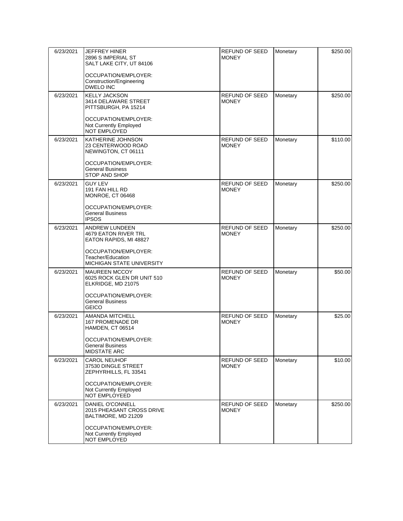| 6/23/2021 | <b>JEFFREY HINER</b><br>2896 S IMPERIAL ST<br>SALT LAKE CITY, UT 84106   | REFUND OF SEED<br><b>MONEY</b>        | Monetary | \$250.00 |
|-----------|--------------------------------------------------------------------------|---------------------------------------|----------|----------|
|           | OCCUPATION/EMPLOYER:<br>Construction/Engineering<br><b>DWELO INC</b>     |                                       |          |          |
| 6/23/2021 | <b>KELLY JACKSON</b><br>3414 DELAWARE STREET<br>PITTSBURGH, PA 15214     | REFUND OF SEED<br><b>MONEY</b>        | Monetary | \$250.00 |
|           | OCCUPATION/EMPLOYER:<br>Not Currently Employed<br><b>NOT EMPLOYED</b>    |                                       |          |          |
| 6/23/2021 | KATHERINE JOHNSON<br>23 CENTERWOOD ROAD<br>NEWINGTON, CT 06111           | REFUND OF SEED<br><b>MONEY</b>        | Monetary | \$110.00 |
|           | OCCUPATION/EMPLOYER:<br><b>General Business</b><br>STOP AND SHOP         |                                       |          |          |
| 6/23/2021 | <b>GUY LEV</b><br>191 FAN HILL RD<br>MONROE, CT 06468                    | <b>REFUND OF SEED</b><br><b>MONEY</b> | Monetary | \$250.00 |
|           | OCCUPATION/EMPLOYER:<br><b>General Business</b><br><b>IPSOS</b>          |                                       |          |          |
| 6/23/2021 | ANDREW LUNDEEN<br><b>4679 EATON RIVER TRL</b><br>EATON RAPIDS, MI 48827  | <b>REFUND OF SEED</b><br><b>MONEY</b> | Monetary | \$250.00 |
|           | OCCUPATION/EMPLOYER:<br>Teacher/Education<br>MICHIGAN STATE UNIVERSITY   |                                       |          |          |
| 6/23/2021 | <b>MAUREEN MCCOY</b><br>6025 ROCK GLEN DR UNIT 510<br>ELKRIDGE, MD 21075 | REFUND OF SEED<br><b>MONEY</b>        | Monetary | \$50.00  |
|           | OCCUPATION/EMPLOYER:<br><b>General Business</b><br><b>GEICO</b>          |                                       |          |          |
| 6/23/2021 | AMANDA MITCHELL<br><b>167 PROMENADE DR</b><br>HAMDEN, CT 06514           | REFUND OF SEED<br><b>MONEY</b>        | Monetary | \$25.00  |
|           | OCCUPATION/EMPLOYER:<br>General Business<br><b>MIDSTATE ARC</b>          |                                       |          |          |
| 6/23/2021 | CAROL NEUHOF<br>37530 DINGLE STREET<br>ZEPHYRHILLS, FL 33541             | REFUND OF SEED<br><b>MONEY</b>        | Monetary | \$10.00  |
|           | OCCUPATION/EMPLOYER:<br>Not Currently Employed<br>NOT EMPLOYEED          |                                       |          |          |
| 6/23/2021 | DANIEL O'CONNELL<br>2015 PHEASANT CROSS DRIVE<br>BALTIMORE, MD 21209     | REFUND OF SEED<br><b>MONEY</b>        | Monetary | \$250.00 |
|           | OCCUPATION/EMPLOYER:<br>Not Currently Employed<br>NOT EMPLOYED           |                                       |          |          |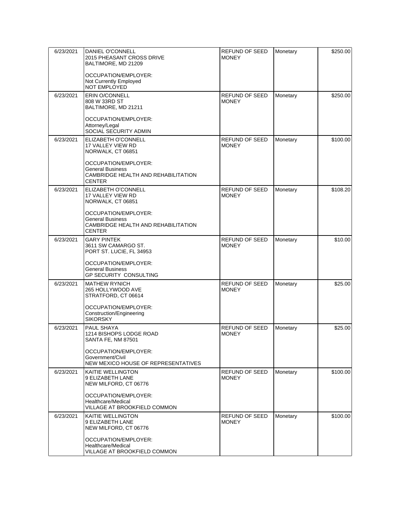| 6/23/2021 | <b>DANIEL O'CONNELL</b><br>2015 PHEASANT CROSS DRIVE<br>BALTIMORE, MD 21209                             | REFUND OF SEED<br><b>MONEY</b>        | Monetary | \$250.00 |
|-----------|---------------------------------------------------------------------------------------------------------|---------------------------------------|----------|----------|
|           | OCCUPATION/EMPLOYER:<br>Not Currently Employed<br><b>NOT EMPLOYED</b>                                   |                                       |          |          |
| 6/23/2021 | <b>ERIN O/CONNELL</b><br>808 W 33RD ST<br>BALTIMORE, MD 21211                                           | <b>REFUND OF SEED</b><br>MONEY        | Monetary | \$250.00 |
|           | OCCUPATION/EMPLOYER:<br>Attorney/Legal<br>SOCIAL SECURITY ADMIN                                         |                                       |          |          |
| 6/23/2021 | ELIZABETH O'CONNELL<br>17 VALLEY VIEW RD<br>NORWALK, CT 06851                                           | REFUND OF SEED<br><b>MONEY</b>        | Monetary | \$100.00 |
|           | OCCUPATION/EMPLOYER:<br><b>General Business</b><br>CAMBRIDGE HEALTH AND REHABILITATION<br><b>CENTER</b> |                                       |          |          |
| 6/23/2021 | ELIZABETH O'CONNELL<br>17 VALLEY VIEW RD<br>NORWALK, CT 06851                                           | REFUND OF SEED<br><b>MONEY</b>        | Monetary | \$108.20 |
|           | OCCUPATION/EMPLOYER:<br><b>General Business</b><br>CAMBRIDGE HEALTH AND REHABILITATION<br><b>CENTER</b> |                                       |          |          |
| 6/23/2021 | <b>GARY PINTEK</b><br>3611 SW CAMARGO ST.<br>PORT ST. LUCIE, FL 34953                                   | REFUND OF SEED<br><b>MONEY</b>        | Monetary | \$10.00  |
|           | OCCUPATION/EMPLOYER:<br>General Business<br><b>GP SECURITY CONSULTING</b>                               |                                       |          |          |
| 6/23/2021 | <b>MATHEW RYNICH</b><br>265 HOLLYWOOD AVE<br>STRATFORD, CT 06614                                        | REFUND OF SEED<br><b>MONEY</b>        | Monetary | \$25.00  |
|           | OCCUPATION/EMPLOYER:<br>Construction/Engineering<br><b>SIKORSKY</b>                                     |                                       |          |          |
| 6/23/2021 | PAUL SHAYA<br>1214 BISHOPS LODGE ROAD<br>SANTA FE, NM 87501                                             | REFUND OF SEED<br><b>MONEY</b>        | Monetary | \$25.00  |
|           | OCCUPATION/EMPLOYER:<br>Government/Civil<br>NEW MEXICO HOUSE OF REPRESENTATIVES                         |                                       |          |          |
| 6/23/2021 | KAITIE WELLINGTON<br>9 ELIZABETH LANE<br>NEW MILFORD, CT 06776                                          | REFUND OF SEED<br><b>MONEY</b>        | Monetary | \$100.00 |
|           | OCCUPATION/EMPLOYER:<br>Healthcare/Medical<br>VILLAGE AT BROOKFIELD COMMON                              |                                       |          |          |
| 6/23/2021 | KAITIE WELLINGTON<br>9 ELIZABETH LANE<br>NEW MILFORD, CT 06776                                          | <b>REFUND OF SEED</b><br><b>MONEY</b> | Monetary | \$100.00 |
|           | OCCUPATION/EMPLOYER:<br>Healthcare/Medical<br>VILLAGE AT BROOKFIELD COMMON                              |                                       |          |          |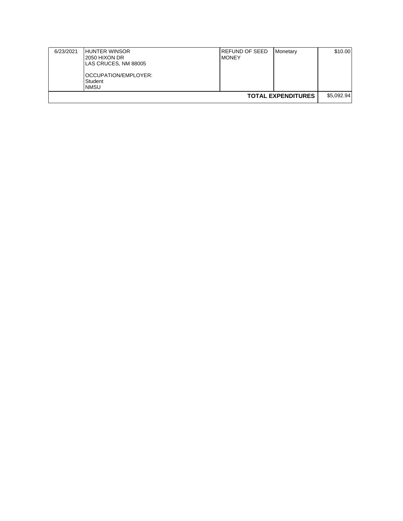| 6/23/2021 | <b>IHUNTER WINSOR</b><br>I2050 HIXON DR<br>LAS CRUCES, NM 88005<br>IOCCUPATION/EMPLOYER:<br>Student<br>INMSU | IREFUND OF SEED<br>IMONEY | Monetary                  | \$10.00    |
|-----------|--------------------------------------------------------------------------------------------------------------|---------------------------|---------------------------|------------|
|           |                                                                                                              |                           | <b>TOTAL EXPENDITURES</b> | \$5,092.94 |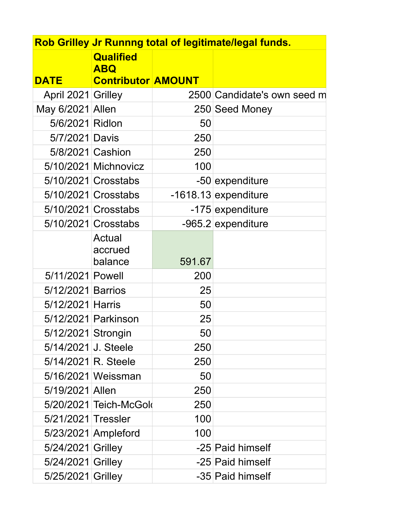|                     |                                         |        | <b>Rob Grilley Jr Runnng total of legitimate/legal funds.</b> |
|---------------------|-----------------------------------------|--------|---------------------------------------------------------------|
|                     | <b>Qualified</b>                        |        |                                                               |
| <b>DATE</b>         | <b>ABQ</b><br><b>Contributor AMOUNT</b> |        |                                                               |
| April 2021 Grilley  |                                         |        | 2500 Candidate's own seed m                                   |
| May 6/2021 Allen    |                                         |        | 250 Seed Money                                                |
| 5/6/2021 Ridlon     |                                         | 50     |                                                               |
| 5/7/2021 Davis      |                                         | 250    |                                                               |
| 5/8/2021 Cashion    |                                         | 250    |                                                               |
|                     | 5/10/2021 Michnovicz                    | 100    |                                                               |
|                     | 5/10/2021 Crosstabs                     |        | -50 expenditure                                               |
|                     | 5/10/2021 Crosstabs                     |        | $-1618.13$ expenditure                                        |
|                     | 5/10/2021 Crosstabs                     |        | -175 expenditure                                              |
|                     | 5/10/2021 Crosstabs                     |        | $-965.2$ expenditure                                          |
|                     | Actual<br>accrued<br>balance            | 591.67 |                                                               |
| 5/11/2021 Powell    |                                         | 200    |                                                               |
| 5/12/2021 Barrios   |                                         | 25     |                                                               |
| 5/12/2021 Harris    |                                         | 50     |                                                               |
|                     | 5/12/2021 Parkinson                     | 25     |                                                               |
| 5/12/2021 Strongin  |                                         | 50     |                                                               |
| 5/14/2021 J. Steele |                                         | 250    |                                                               |
| 5/14/2021 R. Steele |                                         | 250    |                                                               |
|                     | 5/16/2021 Weissman                      | 50     |                                                               |
| 5/19/2021 Allen     |                                         | 250    |                                                               |
|                     | 5/20/2021 Teich-McGold                  | 250    |                                                               |
| 5/21/2021 Tressler  |                                         | 100    |                                                               |
|                     | 5/23/2021 Ampleford                     | 100    |                                                               |
| 5/24/2021 Grilley   |                                         |        | -25 Paid himself                                              |
| 5/24/2021 Grilley   |                                         |        | -25 Paid himself                                              |
| 5/25/2021 Grilley   |                                         |        | -35 Paid himself                                              |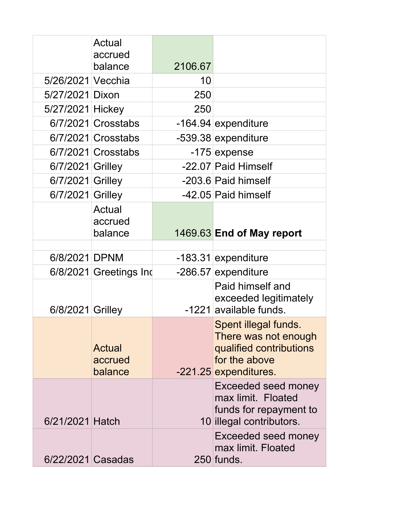|                   | Actual<br>accrued<br>balance | 2106.67 |                                                                                                                   |
|-------------------|------------------------------|---------|-------------------------------------------------------------------------------------------------------------------|
| 5/26/2021 Vecchia |                              | 10      |                                                                                                                   |
| 5/27/2021 Dixon   |                              | 250     |                                                                                                                   |
| 5/27/2021 Hickey  |                              | 250     |                                                                                                                   |
|                   | 6/7/2021 Crosstabs           |         | $-164.94$ expenditure                                                                                             |
|                   | 6/7/2021 Crosstabs           |         | $-539.38$ expenditure                                                                                             |
|                   | 6/7/2021 Crosstabs           |         | $-175$ expense                                                                                                    |
| 6/7/2021 Grilley  |                              |         | -22.07 Paid Himself                                                                                               |
| 6/7/2021 Grilley  |                              |         | -203.6 Paid himself                                                                                               |
| 6/7/2021 Grilley  |                              |         | -42.05 Paid himself                                                                                               |
|                   | Actual<br>accrued<br>balance |         | 1469.63 End of May report                                                                                         |
|                   |                              |         |                                                                                                                   |
| 6/8/2021 DPNM     |                              |         | -183.31 expenditure                                                                                               |
|                   | 6/8/2021 Greetings Ind       |         | $-286.57$ expenditure                                                                                             |
| 6/8/2021 Grilley  |                              |         | Paid himself and<br>exceeded legitimately<br>-1221 available funds.                                               |
|                   | Actual<br>accrued<br>balance |         | Spent illegal funds.<br>There was not enough<br>qualified contributions<br>for the above<br>-221.25 expenditures. |
| 6/21/2021 Hatch   |                              |         | Exceeded seed money<br>max limit. Floated<br>funds for repayment to<br>10 illegal contributors.                   |
| 6/22/2021 Casadas |                              |         | Exceeded seed money<br>max limit. Floated<br>250 funds.                                                           |